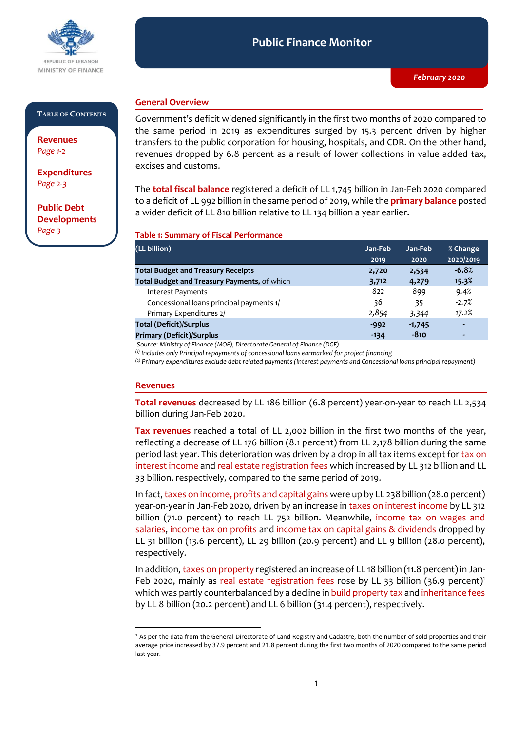

#### **Public Finance Monitor** *February 2020* **Public Finance Monitor**

#### **TABLE OF CONTENTS**

**Revenues**  *Page 1-2*

**Expenditures**  *Page 2-3*

**Public Debt Developments** *Page 3*

## **General Overview**

Government's deficit widened significantly in the first two months of 2020 compared to the same period in 2019 as expenditures surged by 15.3 percent driven by higher transfers to the public corporation for housing, hospitals, and CDR. On the other hand, revenues dropped by 6.8 percent as a result of lower collections in value added tax, excises and customs.

The **total fiscal balance** registered a deficit of LL 1,745 billion in Jan-Feb 2020 compared to a deficit of LL 992 billion in the same period of 2019, while the **primary balance** posted a wider deficit of LL 810 billion relative to LL 134 billion a year earlier.

#### **Table 1: Summary of Fiscal Performance**

| (LL billion)                                 | Jan-Feb | Jan-Feb  | % Change  |
|----------------------------------------------|---------|----------|-----------|
|                                              | 2019    | 2020     | 2020/2019 |
| <b>Total Budget and Treasury Receipts</b>    | 2,720   | 2,534    | $-6.8%$   |
| Total Budget and Treasury Payments, of which | 3,712   | 4,279    | 15.3%     |
| <b>Interest Payments</b>                     | 822     | 899      | 9.4%      |
| Concessional loans principal payments 1/     | 36      | 35       | $-2.7%$   |
| Primary Expenditures 2/                      | 2,854   | 3,344    | 17.2%     |
| <b>Total (Deficit)/Surplus</b>               | $-992$  | $-1,745$ | ٠         |
| <b>Primary (Deficit)/Surplus</b>             | $-134$  | $-810$   |           |

*Source: Ministry of Finance (MOF), Directorate General of Finance (DGF)*

*(1) Includes only Principal repayments of concessional loans earmarked for project financing*

*(2) Primary expenditures exclude debt related payments (Interest payments and Concessional loans principal repayment)*

#### **Revenues**

-

**Total revenues** decreased by LL 186 billion (6.8 percent) year-on-year to reach LL 2,534 billion during Jan-Feb 2020.

**Tax revenues** reached a total of LL 2,002 billion in the first two months of the year, reflecting a decrease of LL 176 billion (8.1 percent) from LL 2,178 billion during the same period last year. This deterioration was driven by a drop in all tax items except for tax on interest income and real estate registration fees which increased by LL 312 billion and LL 33 billion, respectively, compared to the same period of 2019.

In fact, taxes on income, profits and capital gains were up by LL 238 billion (28.0 percent) year-on-year in Jan-Feb 2020, driven by an increase in taxes on interest income by LL 312 billion (71.0 percent) to reach LL 752 billion. Meanwhile, income tax on wages and salaries, income tax on profits and income tax on capital gains & dividends dropped by LL 31 billion (13.6 percent), LL 29 billion (20.9 percent) and LL 9 billion (28.0 percent), respectively.

In addition, taxes on property registered an increase of LL 18 billion (11.8 percent) in Jan-Feb 2020, mainly as real estate registration fees rose by LL 33 billion (36.9 percent)<sup>1</sup> which was partly counterbalanced by a decline in build property tax and inheritance fees by LL 8 billion (20.2 percent) and LL 6 billion (31.4 percent), respectively.

<sup>1</sup> As per the data from the General Directorate of Land Registry and Cadastre, both the number of sold properties and their average price increased by 37.9 percent and 21.8 percent during the first two months of 2020 compared to the same period last year.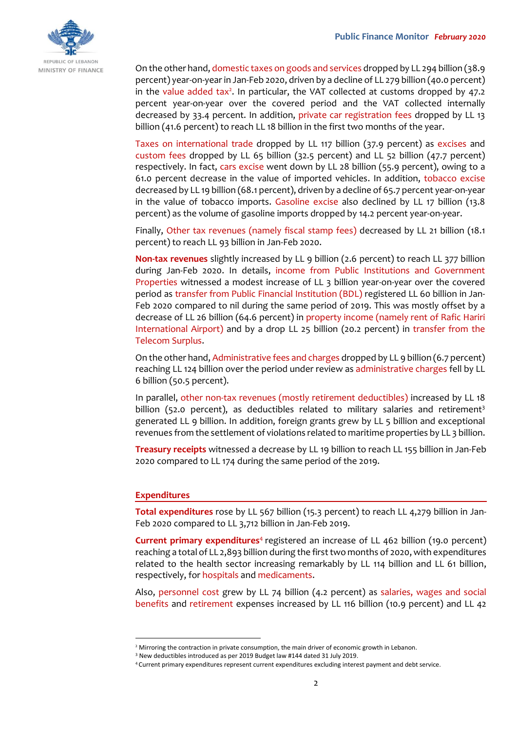

On the other hand, domestic taxes on goods and services dropped by LL 294 billion (38.9 percent) year-on-year in Jan-Feb 2020, driven by a decline of LL 279 billion (40.0 percent) in the value added tax<sup>2</sup>. In particular, the VAT collected at customs dropped by 47.2 percent year-on-year over the covered period and the VAT collected internally decreased by 33.4 percent. In addition, private car registration fees dropped by LL 13 billion (41.6 percent) to reach LL 18 billion in the first two months of the year.

Taxes on international trade dropped by LL 117 billion (37.9 percent) as excises and custom fees dropped by LL 65 billion (32.5 percent) and LL 52 billion (47.7 percent) respectively. In fact, cars excise went down by LL 28 billion (55.9 percent), owing to a 61.0 percent decrease in the value of imported vehicles. In addition, tobacco excise decreased by LL 19 billion (68.1 percent), driven by a decline of 65.7 percent year-on-year in the value of tobacco imports. Gasoline excise also declined by LL 17 billion (13.8 percent) as the volume of gasoline imports dropped by 14.2 percent year-on-year.

Finally, Other tax revenues (namely fiscal stamp fees) decreased by LL 21 billion (18.1 percent) to reach LL 93 billion in Jan-Feb 2020.

**Non-tax revenues** slightly increased by LL 9 billion (2.6 percent) to reach LL 377 billion during Jan-Feb 2020. In details, income from Public Institutions and Government Properties witnessed a modest increase of LL 3 billion year-on-year over the covered period as transfer from Public Financial Institution (BDL) registered LL 60 billion in Jan-Feb 2020 compared to nil during the same period of 2019. This was mostly offset by a decrease of LL 26 billion (64.6 percent) in property income (namely rent of Rafic Hariri International Airport) and by a drop LL 25 billion (20.2 percent) in transfer from the Telecom Surplus.

On the other hand, Administrative fees and charges dropped by LL 9 billion (6.7 percent) reaching LL 124 billion over the period under review as administrative charges fell by LL 6 billion (50.5 percent).

In parallel, other non-tax revenues (mostly retirement deductibles) increased by LL 18 billion (52.0 percent), as deductibles related to military salaries and retirement<sup>3</sup> generated LL 9 billion. In addition, foreign grants grew by LL 5 billion and exceptional revenues from the settlement of violations related to maritime properties by LL 3 billion.

**Treasury receipts** witnessed a decrease by LL 19 billion to reach LL 155 billion in Jan-Feb 2020 compared to LL 174 during the same period of the 2019.

### **Expenditures**

-

**Total expenditures** rose by LL 567 billion (15.3 percent) to reach LL 4,279 billion in Jan-Feb 2020 compared to LL 3,712 billion in Jan-Feb 2019.

**Current primary expenditures<sup>4</sup> registered an increase of LL 462 billion (19.0 percent)** reaching a total of LL 2,893 billion during the first two months of 2020, with expenditures related to the health sector increasing remarkably by LL 114 billion and LL 61 billion, respectively, for hospitals and medicaments.

Also, personnel cost grew by LL 74 billion (4.2 percent) as salaries, wages and social benefits and retirement expenses increased by LL 116 billion (10.9 percent) and LL 42

<sup>&</sup>lt;sup>2</sup> Mirroring the contraction in private consumption, the main driver of economic growth in Lebanon.

<sup>3</sup> New deductibles introduced as per 2019 Budget law #144 dated 31 July 2019.

<sup>4</sup> Current primary expenditures represent current expenditures excluding interest payment and debt service.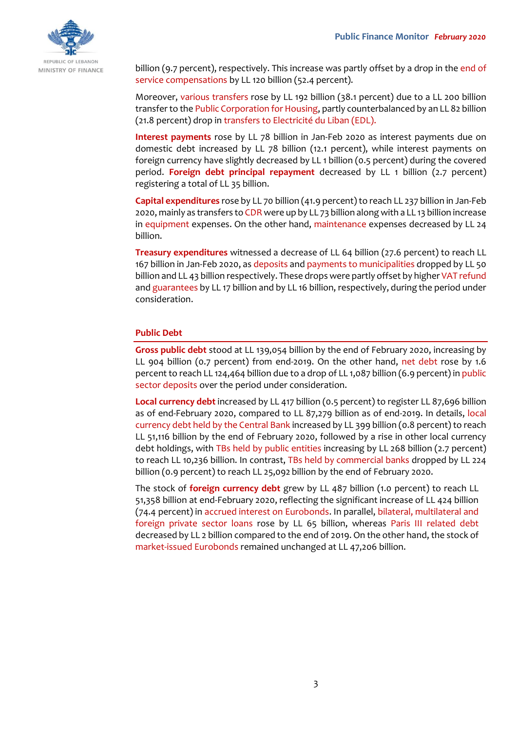

billion (9.7 percent), respectively. This increase was partly offset by a drop in the end of service compensations by LL 120 billion (52.4 percent).

Moreover, various transfers rose by LL 192 billion (38.1 percent) due to a LL 200 billion transfer to the Public Corporation for Housing, partly counterbalanced by an LL 82 billion (21.8 percent) drop in transfers to Electricité du Liban (EDL).

**Interest payments** rose by LL 78 billion in Jan-Feb 2020 as interest payments due on domestic debt increased by LL 78 billion (12.1 percent), while interest payments on foreign currency have slightly decreased by LL 1 billion (0.5 percent) during the covered period. **Foreign debt principal repayment** decreased by LL 1 billion (2.7 percent) registering a total of LL 35 billion.

**Capital expenditures** rose by LL 70 billion (41.9 percent) to reach LL 237 billion in Jan-Feb 2020, mainly as transfers to CDR were up by LL 73 billion along with a LL 13 billion increase in equipment expenses. On the other hand, maintenance expenses decreased by LL 24 billion.

**Treasury expenditures** witnessed a decrease of LL 64 billion (27.6 percent) to reach LL 167 billion in Jan-Feb 2020, as deposits and payments to municipalities dropped by LL 50 billion and LL 43 billion respectively. These drops were partly offset by higher VAT refund and guarantees by LL 17 billion and by LL 16 billion, respectively, during the period under consideration.

## **Public Debt**

**Gross public debt** stood at LL 139,054 billion by the end of February 2020, increasing by LL 904 billion (0.7 percent) from end-2019. On the other hand, net debt rose by 1.6 percent to reach LL 124,464 billion due to a drop of LL 1,087 billion (6.9 percent) in public sector deposits over the period under consideration.

**Local currency debt** increased by LL 417 billion (0.5 percent) to register LL 87,696 billion as of end-February 2020, compared to LL 87,279 billion as of end-2019. In details, local currency debt held by the Central Bank increased by LL 399 billion (0.8 percent) to reach LL 51,116 billion by the end of February 2020, followed by a rise in other local currency debt holdings, with TBs held by public entities increasing by LL 268 billion (2.7 percent) to reach LL 10,236 billion. In contrast, TBs held by commercial banks dropped by LL 224 billion (0.9 percent) to reach LL 25,092 billion by the end of February 2020.

The stock of **foreign currency debt** grew by LL 487 billion (1.0 percent) to reach LL 51,358 billion at end-February 2020, reflecting the significant increase of LL 424 billion (74.4 percent) in accrued interest on Eurobonds. In parallel, bilateral, multilateral and foreign private sector loans rose by LL 65 billion, whereas Paris III related debt decreased by LL 2 billion compared to the end of 2019. On the other hand, the stock of market-issued Eurobonds remained unchanged at LL 47,206 billion.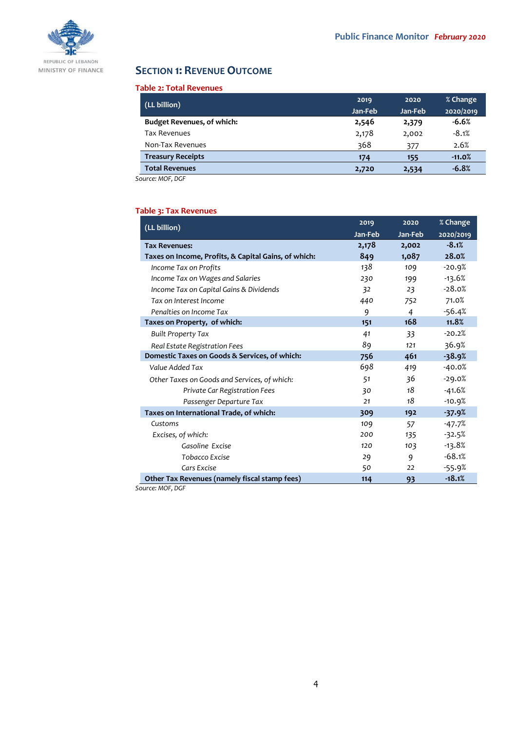

# **SECTION 1: REVENUE OUTCOME**

#### **Table 2: Total Revenues**

| (LL billion)                      | 2019    | 2020    | % Change  |
|-----------------------------------|---------|---------|-----------|
|                                   | Jan-Feb | Jan-Feb | 2020/2019 |
| <b>Budget Revenues, of which:</b> | 2,546   | 2,379   | $-6.6%$   |
| <b>Tax Revenues</b>               | 2,178   | 2,002   | $-8.1%$   |
| Non-Tax Revenues                  | 368     | 377     | 2.6%      |
| <b>Treasury Receipts</b>          | 174     | 155     | $-11.0%$  |
| <b>Total Revenues</b>             | 2,720   | 2,534   | $-6.8%$   |

*Source: MOF, DGF*

## **Table 3: Tax Revenues**

| (LL billion)                                         | 2019    | 2020    | % Change  |
|------------------------------------------------------|---------|---------|-----------|
|                                                      | Jan-Feb | Jan-Feb | 2020/2019 |
| <b>Tax Revenues:</b>                                 | 2,178   | 2,002   | $-8.1%$   |
| Taxes on Income, Profits, & Capital Gains, of which: | 849     | 1,087   | 28.0%     |
| Income Tax on Profits                                | 138     | 109     | $-20.9%$  |
| Income Tax on Wages and Salaries                     | 230     | 199     | -13.6%    |
| Income Tax on Capital Gains & Dividends              | 32      | 23      | $-28.0%$  |
| Tax on Interest Income                               | 440     | 752     | 71.0%     |
| Penalties on Income Tax                              | 9       | 4       | $-56.4%$  |
| Taxes on Property, of which:                         | 151     | 168     | 11.8%     |
| <b>Built Property Tax</b>                            | 41      | 33      | $-20.2%$  |
| Real Estate Registration Fees                        | 89      | 121     | 36.9%     |
| Domestic Taxes on Goods & Services, of which:        | 756     | 461     | $-38.9%$  |
| Value Added Tax                                      | 698     | 419     | -40.0%    |
| Other Taxes on Goods and Services, of which:         | 51      | 36      | $-29.0%$  |
| Private Car Registration Fees                        | 30      | 18      | $-41.6%$  |
| Passenger Departure Tax                              | 21      | 18      | $-10.9%$  |
| Taxes on International Trade, of which:              | 309     | 192     | $-37.9%$  |
| Customs                                              | 109     | 57      | -47.7%    |
| Excises, of which:                                   | 200     | 135     | $-32.5%$  |
| Gasoline Excise                                      | 120     | 103     | $-13.8%$  |
| Tobacco Excise                                       | 29      | 9       | $-68.1%$  |
| Cars Excise                                          | 50      | 22      | $-55.9%$  |
| Other Tax Revenues (namely fiscal stamp fees)        | 114     | 93      | $-18.1%$  |

*Source: MOF, DGF*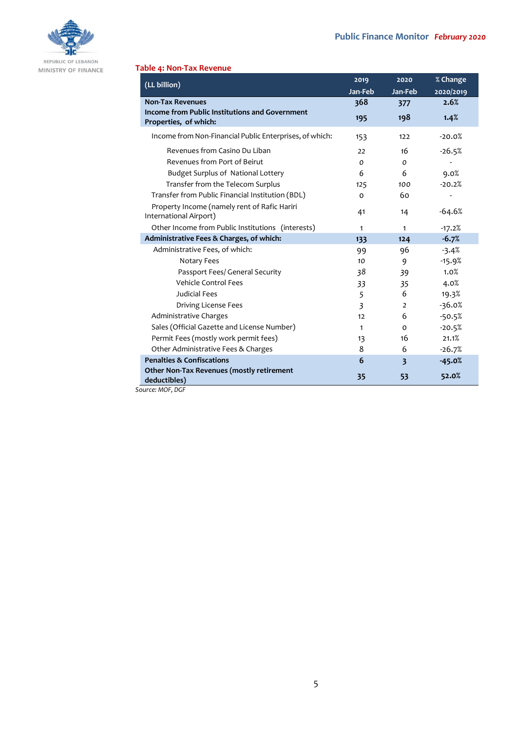

MINISTRY OF FINANCE

## **Table 4: Non-Tax Revenue**

| (LL billion)                                                                   | 2019           | 2020                    | % Change  |
|--------------------------------------------------------------------------------|----------------|-------------------------|-----------|
|                                                                                | Jan-Feb        | Jan-Feb                 | 2020/2019 |
| <b>Non-Tax Revenues</b>                                                        | 368            | 377                     | 2.6%      |
| <b>Income from Public Institutions and Government</b><br>Properties, of which: | 195            | 198                     | 1.4%      |
| Income from Non-Financial Public Enterprises, of which:                        | 153            | 122                     | $-20.0%$  |
| Revenues from Casino Du Liban                                                  | 22             | 16                      | $-26.5%$  |
| Revenues from Port of Beirut                                                   | 0              | 0                       |           |
| Budget Surplus of National Lottery                                             | 6              | 6                       | 9.0%      |
| Transfer from the Telecom Surplus                                              | 125            | 100                     | $-20.2%$  |
| Transfer from Public Financial Institution (BDL)                               | 0              | 60                      |           |
| Property Income (namely rent of Rafic Hariri<br>International Airport)         | 41             | 14                      | $-64.6%$  |
| Other Income from Public Institutions (interests)                              | 1              | 1                       | $-17.2%$  |
| Administrative Fees & Charges, of which:                                       | 133            | 124                     | $-6.7%$   |
| Administrative Fees, of which:                                                 | 99             | 96                      | $-3.4%$   |
| Notary Fees                                                                    | 10             | 9                       | $-15.9%$  |
| Passport Fees/ General Security                                                | 38             | 39                      | 1.0%      |
| Vehicle Control Fees                                                           | 33             | 35                      | 4.0%      |
| Judicial Fees                                                                  | 5              | 6                       | 19.3%     |
| Driving License Fees                                                           | $\overline{3}$ | 2                       | $-36.0%$  |
| Administrative Charges                                                         | 12             | 6                       | $-50.5%$  |
| Sales (Official Gazette and License Number)                                    | $\mathbf{1}$   | $\Omega$                | $-20.5%$  |
| Permit Fees (mostly work permit fees)                                          | 13             | 16                      | 21.1%     |
| Other Administrative Fees & Charges                                            | 8              | 6                       | $-26.7%$  |
| <b>Penalties &amp; Confiscations</b>                                           | 6              | $\overline{\mathbf{3}}$ | $-45.0%$  |
| Other Non-Tax Revenues (mostly retirement<br>deductibles)<br>Source: MOF, DGF  | 35             | 53                      | 52.0%     |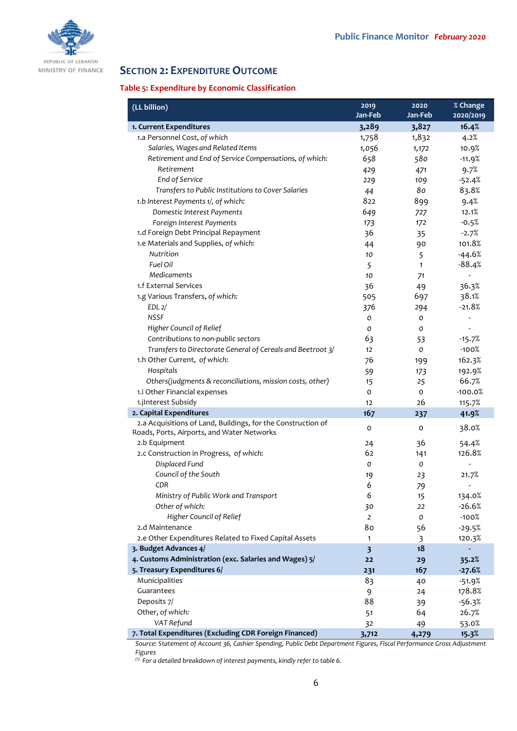

REPUBLIC OF LEBANON MINISTRY OF FINANCE

# **SECTION 2: EXPENDITURE OUTCOME**

## **Table 5: Expenditure by Economic Classification**

| (LL billion)                                                 | 2019<br>Jan-Feb         | 2020<br>Jan-Feb | % Change<br>2020/2019    |
|--------------------------------------------------------------|-------------------------|-----------------|--------------------------|
| 1. Current Expenditures                                      | 3,289                   | 3,827           | 16.4%                    |
| 1.a Personnel Cost, of which                                 | 1,758                   | 1,832           | 4.2%                     |
| Salaries, Wages and Related Items                            | 1,056                   | 1,172           | 10.9%                    |
| Retirement and End of Service Compensations, of which:       | 658                     | 580             | $-11.9%$                 |
| Retirement                                                   | 429                     | 471             | 9.7%                     |
| End of Service                                               | 229                     | 109             | $-52.4%$                 |
| Transfers to Public Institutions to Cover Salaries           | 44                      | 80              | 83.8%                    |
| 1.b Interest Payments 1/, of which:                          | 822                     | 899             | 9.4%                     |
| Domestic Interest Payments                                   | 649                     | 727             | 12.1%                    |
| Foreign Interest Payments                                    | 173                     | 172             | $-0.5%$                  |
| 1.d Foreign Debt Principal Repayment                         | 36                      | 35              | $-2.7%$                  |
| 1.e Materials and Supplies, of which:                        | 44                      | 90              | 101.8%                   |
| Nutrition                                                    | 10                      | 5               | $-44.6%$                 |
| Fuel Oil                                                     | 5                       | $\mathbf{1}$    | $-88.4%$                 |
| Medicaments                                                  | 10                      | 71              | $\overline{\phantom{a}}$ |
| 1.f External Services                                        | 36                      | 49              | 36.3%                    |
| 1.g Various Transfers, of which:                             | 505                     | 697             | 38.1%                    |
| EDL <sub>2</sub> /                                           | 376                     | 294             | $-21.8%$                 |
| <b>NSSF</b>                                                  | 0                       | 0               |                          |
| Higher Council of Relief                                     | 0                       | 0               |                          |
| Contributions to non-public sectors                          | 63                      | 53              | $-15.7%$                 |
| Transfers to Directorate General of Cereals and Beetroot 3/  | 12                      | 0               | $-100%$                  |
| 1.h Other Current, of which:                                 | 76                      | 199             | 162.3%                   |
| Hospitals                                                    | 59                      | 173             | 192.9%                   |
| Others(judgments & reconciliations, mission costs, other)    | 15                      | 25              | 66.7%                    |
| 1.i Other Financial expenses                                 | O                       | 0               | $-100.0%$                |
| 1.jInterest Subsidy                                          | 12                      | 26              | 115.7%                   |
| 2. Capital Expenditures                                      | 167                     | 237             | 41.9%                    |
| 2.a Acquisitions of Land, Buildings, for the Construction of | o                       | 0               | 38.0%                    |
| Roads, Ports, Airports, and Water Networks                   |                         |                 |                          |
| 2.b Equipment                                                | 24                      | 36              | 54.4%                    |
| 2.c Construction in Progress, of which:                      | 62                      | 141             | 126.8%                   |
| Displaced Fund                                               | O                       | 0               |                          |
| Council of the South                                         | 19                      | 23              | 21.7%                    |
| <b>CDR</b>                                                   | 6                       | 79              |                          |
| Ministry of Public Work and Transport                        | 6                       | 15              | 134.0%                   |
| Other of which:                                              | 30                      | 22              | $-26.6%$                 |
| Higher Council of Relief                                     | $\overline{2}$          | о               | $-100%$                  |
| 2.d Maintenance                                              | 80                      | 56              | $-29.5%$                 |
| 2.e Other Expenditures Related to Fixed Capital Assets       | $\mathbf{1}$            | 3               | 120.3%                   |
| 3. Budget Advances 4/                                        | $\overline{\mathbf{3}}$ | 18              |                          |
| 4. Customs Administration (exc. Salaries and Wages) 5/       | 22                      | 29              | 35.2%                    |
| 5. Treasury Expenditures 6/                                  | 231                     | 167             | $-27.6%$                 |
| Municipalities                                               | 83                      | 40              | $-51.9%$                 |
| Guarantees                                                   | 9                       | 24              | 178.8%                   |
| Deposits 7/                                                  | 88                      | 39              | $-56.3%$                 |
| Other, of which:                                             | 51                      | 64              | 26.7%                    |
| VAT Refund                                                   | 32                      | 49              | 53.0%                    |
| 7. Total Expenditures (Excluding CDR Foreign Financed)       | 3,712                   | 4,279           | 15.3%                    |

*Source: Statement of Account 36, Cashier Spending, Public Debt Department Figures, Fiscal Performance Gross Adjustment Figures*

*(1) For a detailed breakdown of interest payments, kindly refer to table 6.*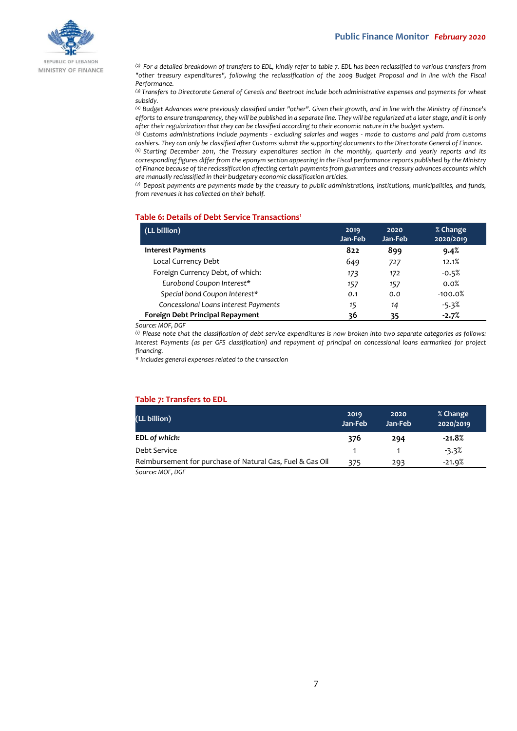

REPUBLIC OF LEBANON MINISTRY OF FINANCE

*(2) For a detailed breakdown of transfers to EDL, kindly refer to table 7. EDL has been reclassified to various transfers from "other treasury expenditures", following the reclassification of the 2009 Budget Proposal and in line with the Fiscal Performance.*

*(3) Transfers to Directorate General of Cereals and Beetroot include both administrative expenses and payments for wheat subsidy.*

*(4) Budget Advances were previously classified under "other". Given their growth, and in line with the Ministry of Finance's efforts to ensure transparency, they will be published in a separate line. They will be regularized at a later stage, and it is only after their regularization that they can be classified according to their economic nature in the budget system.*

*(5) Customs administrations include payments - excluding salaries and wages - made to customs and paid from customs cashiers. They can only be classified after Customs submit the supporting documents to the Directorate General of Finance. (6) Starting December 2011, the Treasury expenditures section in the monthly, quarterly and yearly reports and its* 

*corresponding figures differ from the eponym section appearing in the Fiscal performance reports published by the Ministry of Finance because of the reclassification affecting certain payments from guarantees and treasury advances accounts which are manually reclassified in their budgetary economic classification articles.*

*(7) Deposit payments are payments made by the treasury to public administrations, institutions, municipalities, and funds, from revenues it has collected on their behalf.*

#### **Table 6: Details of Debt Service Transactions<sup>1</sup>**

| (LL billion)                         | 2019<br>Jan-Feb | 2020<br>Jan-Feb | % Change<br>2020/2019 |
|--------------------------------------|-----------------|-----------------|-----------------------|
| <b>Interest Payments</b>             | 822             | 899             | 9.4%                  |
| Local Currency Debt                  | 649             | 727             | 12.1%                 |
| Foreign Currency Debt, of which:     | 173             | 172             | $-0.5%$               |
| Eurobond Coupon Interest*            | 157             | 157             | 0.0%                  |
| Special bond Coupon Interest*        | 0.1             | 0.0             | $-100.0%$             |
| Concessional Loans Interest Payments | 15              | 14              | $-5.3%$               |
| Foreign Debt Principal Repayment     | 36              | 35              | $-2.7%$               |

*Source: MOF, DGF*

*(1) Please note that the classification of debt service expenditures is now broken into two separate categories as follows: Interest Payments (as per GFS classification) and repayment of principal on concessional loans earmarked for project financing.*

*\* Includes general expenses related to the transaction*

## **Table 7: Transfers to EDL**

| (LL billion)                                              | 2019<br>Jan-Feb | 2020<br>Jan-Feb | % Change<br>2020/2019 |
|-----------------------------------------------------------|-----------------|-----------------|-----------------------|
| EDL of which:                                             | 376             | 294             | $-21.8%$              |
| Debt Service                                              |                 |                 | $-3.3%$               |
| Reimbursement for purchase of Natural Gas, Fuel & Gas Oil | 375             | 293             | $-21.9%$              |

*Source: MOF, DGF*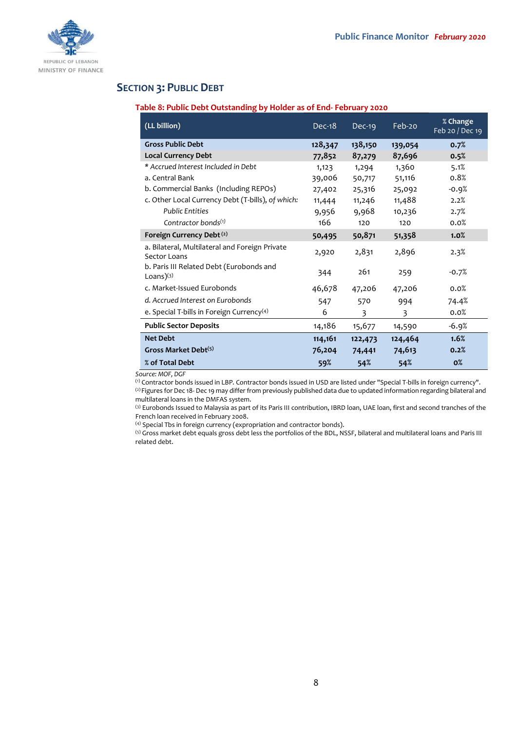

# **SECTION 3: PUBLIC DEBT**

## **Table 8: Public Debt Outstanding by Holder as of End- February 2020**

| (LL billion)                                                   | Dec-18  | $Dec-19$ | Feb-20  | % Change<br>Feb 20 / Dec 19 |
|----------------------------------------------------------------|---------|----------|---------|-----------------------------|
| <b>Gross Public Debt</b>                                       | 128,347 | 138,150  | 139,054 | 0.7%                        |
| <b>Local Currency Debt</b>                                     | 77,852  | 87,279   | 87,696  | 0.5%                        |
| * Accrued Interest Included in Debt                            | 1,123   | 1,294    | 1,360   | 5.1%                        |
| a. Central Bank                                                | 39,006  | 50,717   | 51,116  | 0.8%                        |
| b. Commercial Banks (Including REPOs)                          | 27,402  | 25,316   | 25,092  | $-0.9%$                     |
| c. Other Local Currency Debt (T-bills), of which:              | 11,444  | 11,246   | 11,488  | 2.2%                        |
| <b>Public Entities</b>                                         | 9,956   | 9,968    | 10,236  | 2.7%                        |
| Contractor bonds <sup>(1)</sup>                                | 166     | 120      | 120     | 0.0%                        |
| Foreign Currency Debt (2)                                      | 50,495  | 50,871   | 51,358  | 1.0%                        |
| a. Bilateral, Multilateral and Foreign Private<br>Sector Loans | 2,920   | 2,831    | 2,896   | 2.3%                        |
| b. Paris III Related Debt (Eurobonds and<br>Loans $(3)$        | 344     | 261      | 259     | $-0.7%$                     |
| c. Market-Issued Eurobonds                                     | 46,678  | 47,206   | 47,206  | 0.0%                        |
| d. Accrued Interest on Eurobonds                               | 547     | 570      | 994     | 74.4%                       |
| e. Special T-bills in Foreign Currency <sup>(4)</sup>          | 6       | 3        | 3       | 0.0%                        |
| <b>Public Sector Deposits</b>                                  | 14,186  | 15,677   | 14,590  | $-6.9%$                     |
| <b>Net Debt</b>                                                | 114,161 | 122,473  | 124,464 | 1.6%                        |
| Gross Market Debt <sup>(5)</sup>                               | 76,204  | 74,441   | 74,613  | 0.2%                        |
| % of Total Debt                                                | 59%     | 54%      | 54%     | $0\%$                       |

*Source: MOF, DGF*

(1) Contractor bonds issued in LBP. Contractor bonds issued in USD are listed under "Special T-bills in foreign currency". <sup>(2)</sup> Figures for Dec 18- Dec 19 may differ from previously published data due to updated information regarding bilateral and multilateral loans in the DMFAS system.

(3) Eurobonds Issued to Malaysia as part of its Paris III contribution, IBRD loan, UAE loan, first and second tranches of the French loan received in February 2008.

(4) Special Tbs in foreign currency (expropriation and contractor bonds).

(5) Gross market debt equals gross debt less the portfolios of the BDL, NSSF, bilateral and multilateral loans and Paris III related debt.